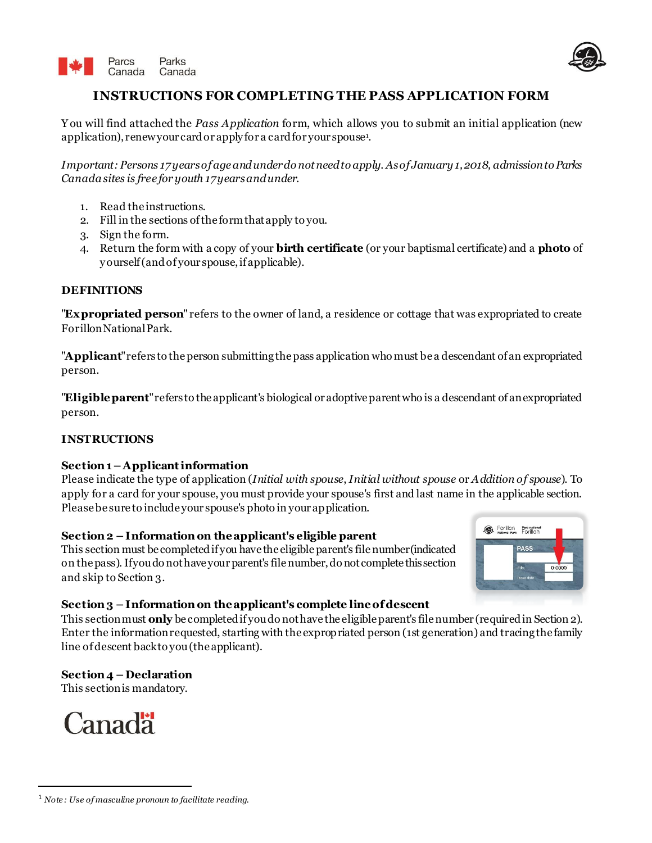



# **INSTRUCTIONS FOR COMPLETING THE PASS APPLICATION FORM**

Y ou will find attached the *Pass Application* form, which allows you to submit an initial application (new application), renewyour card or apply for a card for your spouse<sup>1</sup>.

*Important: Persons 17years of age and under do not need to apply. As of January 1, 2018, admission to Parks Canada sites is free for youth 17 years and under.*

- 1. Read the instructions.
- 2. Fill in the sections of the form that apply to you.
- 3. Sign the form.
- 4. Return the form with a copy of your **birth certificate** (or your baptismal certificate) and a **photo** of y ourself (and of your spouse, if applicable).

#### **DEFINITIONS**

"**Expropriated person**" refers to the owner of land, a residence or cottage that was expropriated to create Forillon National Park.

"**Applicant**" refers to the person submitting the pass application who must be a descendant of an expropriated person.

"**Eligible parent**" refers to the applicant's biological or adoptive parent who is a descendant of an expropriated person.

## **INSTRUCTIONS**

## **Section 1 –Applicant information**

Please indicate the type of application (*Initial with spouse*, *Initial without spouse* or *Addition of spouse*). To apply for a card for your spouse, you must provide your spouse's first and last name in the applicable section. Please be sure to include your spouse's photo in your application.

## **Section 2 – Information on the applicant's eligible parent**

This section must be completed if you have the eligible parent's file number (indicated on the pass). If you do not have your parent's file number, do not complete this section and skip to Section 3.



## **Section 3 – Information on the applicant's complete line of descent**

This section must **only** be completed if you do not have the eligible parent's file number (required in Section 2). Enter the information requested, starting with the expropriated person (1st generation) and tracing the family line of descent back to you (the applicant).

## **Section 4 – Declaration**

This section is mandatory.



1

<sup>1</sup> *Note : Use of masculine pronoun to facilitate reading.*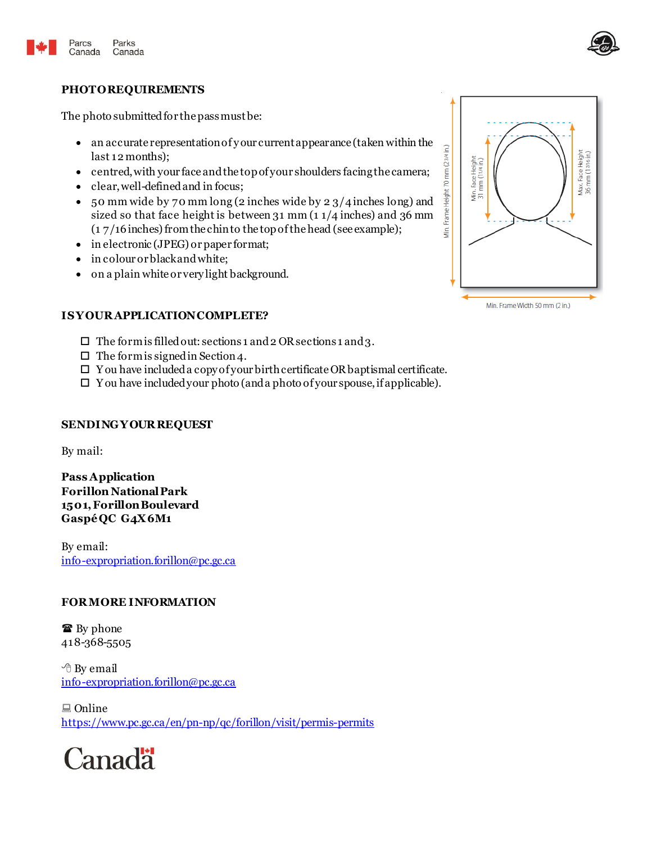



#### **PHOTO REQUIREMENTS**

The photo submitted for the pass must be:

- an accurate representation of y our current appearance (taken within the last 12months);
- centred, with your face and the top of your shoulders facing the camera;
- clear, well-defined and in focus;
- 50 mm wide by 70 mm long (2 inches wide by 2 3/4inches long) and sized so that face height is between 31 mm (1 1/4 inches) and 36 mm (1 7/16inches) from the chin to the top of the head (see example);
- in electronic (JPEG) or paper format;
- in colour or black and white;
- on a plain white or very light background.

## **IS YOUR APPLICATION COMPLETE?**

- $\Box$  The form is filled out: sections 1 and 2 OR sections 1 and 3.
- $\Box$  The form is signed in Section 4.
- $\Box$  Y ou have included a copy of your birth certificate OR baptismal certificate.
- $\Box$  Y ou have included your photo (and a photo of your spouse, if applicable).

#### **SENDING YOUR REQUEST**

By mail:

**Pass Application Forillon National Park 1501, ForillonBoulevard Gaspé QC G4X 6M1**

By email: [info-expropriation.forillon@pc.gc.ca](mailto:info-expropriation.forillon@pc.gc.ca)

#### **FOR MORE INFORMATION**

**■** By phone 418-368-5505

<sup>th</sup> By email [info-expropriation.forillon@pc.gc.ca](mailto:info-expropriation.forillon@pc.gc.ca)

 $\Box$  Online <https://www.pc.gc.ca/en/pn-np/qc/forillon/visit/permis-permits>